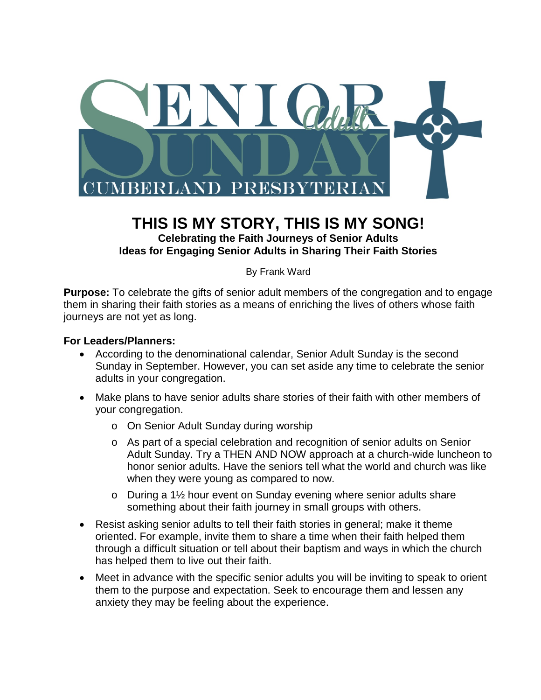

# **THIS IS MY STORY, THIS IS MY SONG! Celebrating the Faith Journeys of Senior Adults Ideas for Engaging Senior Adults in Sharing Their Faith Stories**

By Frank Ward

**Purpose:** To celebrate the gifts of senior adult members of the congregation and to engage them in sharing their faith stories as a means of enriching the lives of others whose faith journeys are not yet as long.

### **For Leaders/Planners:**

- According to the denominational calendar, Senior Adult Sunday is the second Sunday in September. However, you can set aside any time to celebrate the senior adults in your congregation.
- Make plans to have senior adults share stories of their faith with other members of your congregation.
	- o On Senior Adult Sunday during worship
	- o As part of a special celebration and recognition of senior adults on Senior Adult Sunday. Try a THEN AND NOW approach at a church-wide luncheon to honor senior adults. Have the seniors tell what the world and church was like when they were young as compared to now.
	- $\circ$  During a 1½ hour event on Sunday evening where senior adults share something about their faith journey in small groups with others.
- Resist asking senior adults to tell their faith stories in general; make it theme oriented. For example, invite them to share a time when their faith helped them through a difficult situation or tell about their baptism and ways in which the church has helped them to live out their faith.
- Meet in advance with the specific senior adults you will be inviting to speak to orient them to the purpose and expectation. Seek to encourage them and lessen any anxiety they may be feeling about the experience.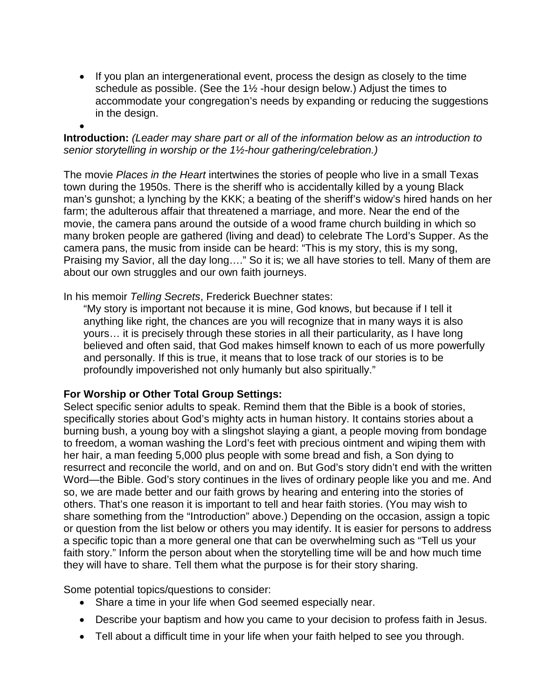• If you plan an intergenerational event, process the design as closely to the time schedule as possible. (See the 1½ -hour design below.) Adjust the times to accommodate your congregation's needs by expanding or reducing the suggestions in the design.

#### • **Introduction:** *(Leader may share part or all of the information below as an introduction to senior storytelling in worship or the 1½-hour gathering/celebration.)*

The movie *Places in the Heart* intertwines the stories of people who live in a small Texas town during the 1950s. There is the sheriff who is accidentally killed by a young Black man's gunshot; a lynching by the KKK; a beating of the sheriff's widow's hired hands on her farm; the adulterous affair that threatened a marriage, and more. Near the end of the movie, the camera pans around the outside of a wood frame church building in which so many broken people are gathered (living and dead) to celebrate The Lord's Supper. As the camera pans, the music from inside can be heard: "This is my story, this is my song, Praising my Savior, all the day long…." So it is; we all have stories to tell. Many of them are about our own struggles and our own faith journeys.

In his memoir *[Telling Secrets](http://www.frederickbuechner.com/page-group/book/genre/telling-secrets)*, Frederick Buechner states:

"My story is important not because it is mine, God knows, but because if I tell it anything like right, the chances are you will recognize that in many ways it is also yours… it is precisely through these stories in all their particularity, as I have long believed and often said, that God makes himself known to each of us more powerfully and personally. If this is true, it means that to lose track of our stories is to be profoundly impoverished not only humanly but also spiritually."

# **For Worship or Other Total Group Settings:**

Select specific senior adults to speak. Remind them that the Bible is a book of stories, specifically stories about God's mighty acts in human history. It contains stories about a burning bush, a young boy with a slingshot slaying a giant, a people moving from bondage to freedom, a woman washing the Lord's feet with precious ointment and wiping them with her hair, a man feeding 5,000 plus people with some bread and fish, a Son dying to resurrect and reconcile the world, and on and on. But God's story didn't end with the written Word—the Bible. God's story continues in the lives of ordinary people like you and me. And so, we are made better and our faith grows by hearing and entering into the stories of others. That's one reason it is important to tell and hear faith stories. (You may wish to share something from the "Introduction" above.) Depending on the occasion, assign a topic or question from the list below or others you may identify. It is easier for persons to address a specific topic than a more general one that can be overwhelming such as "Tell us your faith story." Inform the person about when the storytelling time will be and how much time they will have to share. Tell them what the purpose is for their story sharing.

Some potential topics/questions to consider:

- Share a time in your life when God seemed especially near.
- Describe your baptism and how you came to your decision to profess faith in Jesus.
- Tell about a difficult time in your life when your faith helped to see you through.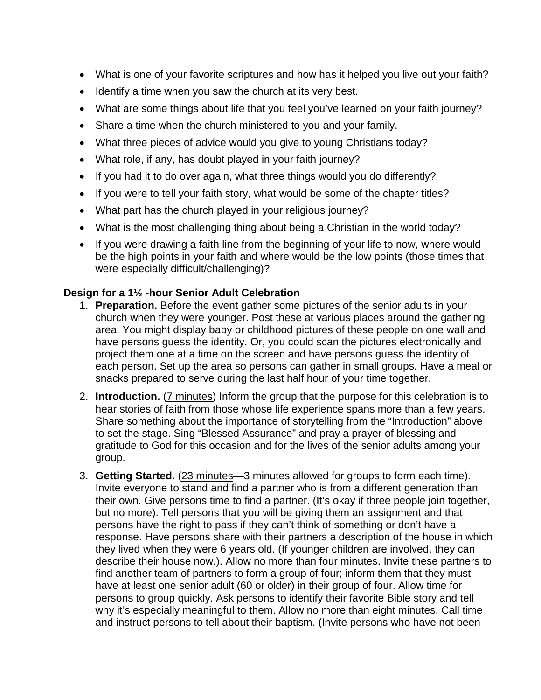- What is one of your favorite scriptures and how has it helped you live out your faith?
- Identify a time when you saw the church at its very best.
- What are some things about life that you feel you've learned on your faith journey?
- Share a time when the church ministered to you and your family.
- What three pieces of advice would you give to young Christians today?
- What role, if any, has doubt played in your faith journey?
- If you had it to do over again, what three things would you do differently?
- If you were to tell your faith story, what would be some of the chapter titles?
- What part has the church played in your religious journey?
- What is the most challenging thing about being a Christian in the world today?
- If you were drawing a faith line from the beginning of your life to now, where would be the high points in your faith and where would be the low points (those times that were especially difficult/challenging)?

## **Design for a 1½ -hour Senior Adult Celebration**

- 1. **Preparation.** Before the event gather some pictures of the senior adults in your church when they were younger. Post these at various places around the gathering area. You might display baby or childhood pictures of these people on one wall and have persons guess the identity. Or, you could scan the pictures electronically and project them one at a time on the screen and have persons guess the identity of each person. Set up the area so persons can gather in small groups. Have a meal or snacks prepared to serve during the last half hour of your time together.
- 2. **Introduction.** (7 minutes) Inform the group that the purpose for this celebration is to hear stories of faith from those whose life experience spans more than a few years. Share something about the importance of storytelling from the "Introduction" above to set the stage. Sing "Blessed Assurance" and pray a prayer of blessing and gratitude to God for this occasion and for the lives of the senior adults among your group.
- 3. **Getting Started.** (23 minutes—3 minutes allowed for groups to form each time). Invite everyone to stand and find a partner who is from a different generation than their own. Give persons time to find a partner. (It's okay if three people join together, but no more). Tell persons that you will be giving them an assignment and that persons have the right to pass if they can't think of something or don't have a response. Have persons share with their partners a description of the house in which they lived when they were 6 years old. (If younger children are involved, they can describe their house now.). Allow no more than four minutes. Invite these partners to find another team of partners to form a group of four; inform them that they must have at least one senior adult (60 or older) in their group of four. Allow time for persons to group quickly. Ask persons to identify their favorite Bible story and tell why it's especially meaningful to them. Allow no more than eight minutes. Call time and instruct persons to tell about their baptism. (Invite persons who have not been